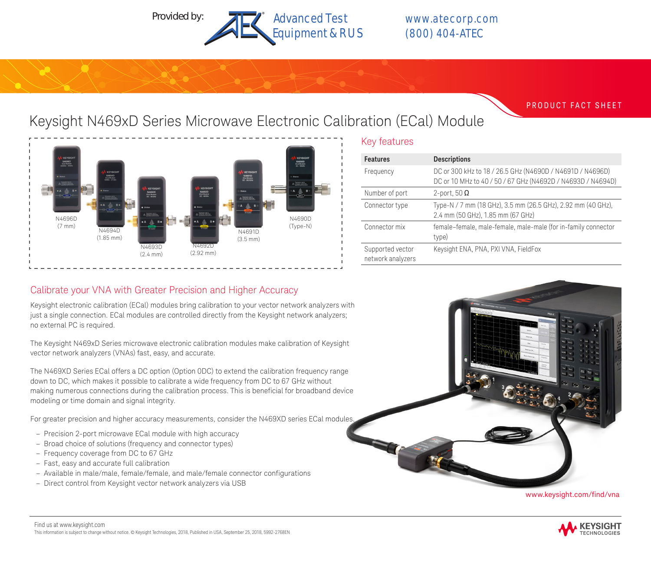

PRODUCT FACT SHEET

# Keysight N469xD Series Microwave Electronic Calibration (ECal) Module



## Key features

| <b>Features</b>                       | <b>Descriptions</b>                                                                                                      |
|---------------------------------------|--------------------------------------------------------------------------------------------------------------------------|
| Frequency                             | DC or 300 kHz to 18 / 26.5 GHz (N4690D / N4691D / N4696D)<br>DC or 10 MHz to 40 / 50 / 67 GHz (N4692D / N4693D / N4694D) |
| Number of port                        | 2-port, 50 $\Omega$                                                                                                      |
| Connector type                        | Type-N / 7 mm (18 GHz), 3.5 mm (26.5 GHz), 2.92 mm (40 GHz),<br>2.4 mm (50 GHz), 1.85 mm (67 GHz)                        |
| Connector mix                         | female-female, male-female, male-male (for in-family connector<br>type)                                                  |
| Supported vector<br>network analyzers | Keysight ENA, PNA, PXI VNA, FieldFox                                                                                     |

# Calibrate your VNA with Greater Precision and Higher Accuracy

Keysight electronic calibration (ECal) modules bring calibration to your vector network analyzers with just a single connection. ECal modules are controlled directly from the Keysight network analyzers; no external PC is required.

The Keysight N469xD Series microwave electronic calibration modules make calibration of Keysight vector network analyzers (VNAs) fast, easy, and accurate.

The N469XD Series ECal offers a DC option (Option 0DC) to extend the calibration frequency range down to DC, which makes it possible to calibrate a wide frequency from DC to 67 GHz without making numerous connections during the calibration process. This is beneficial for broadband device modeling or time domain and signal integrity.

For greater precision and higher accuracy measurements, consider the N469XD series ECal modules.

- Precision 2-port microwave ECal module with high accuracy
- Broad choice of solutions (frequency and connector types)
- Frequency coverage from DC to 67 GHz
- Fast, easy and accurate full calibration
- Available in male/male, female/female, and male/female connector configurations
- Direct control from Keysight vector network analyzers via USB



www.keysight.com/find/vna